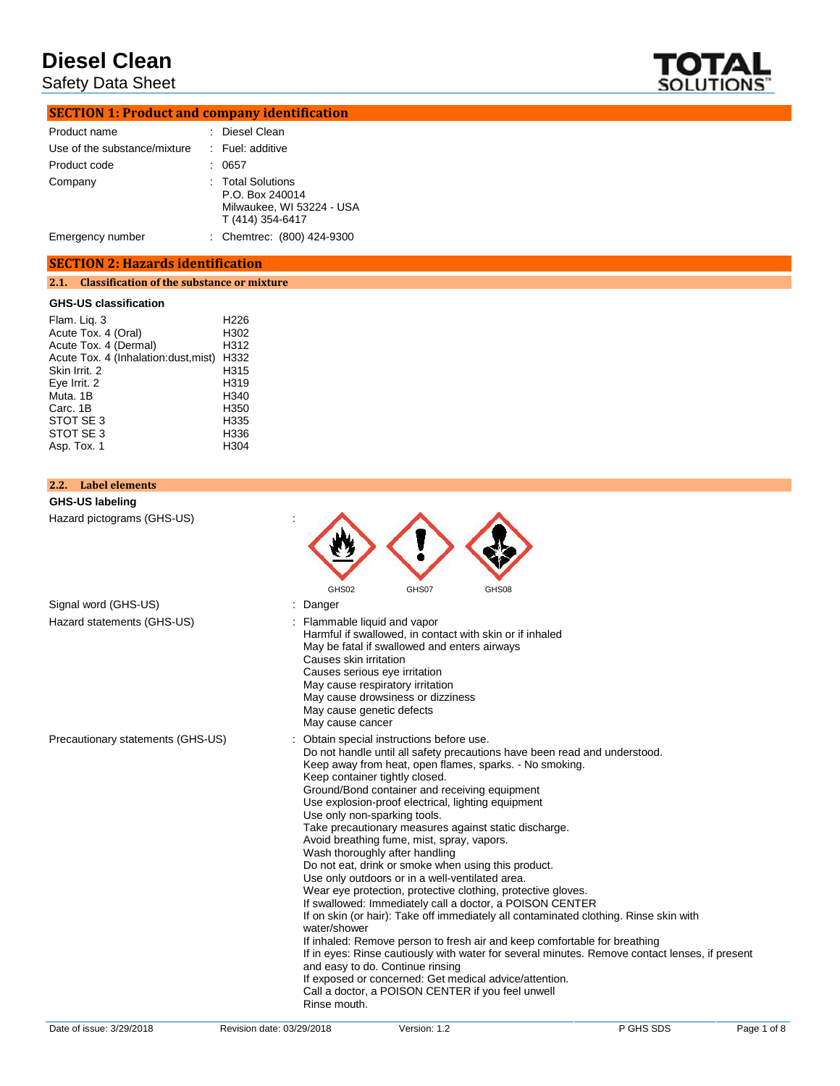Safety Data Sheet



# **SECTION 1: Product and company identification**

| Product name                 | : Diesel Clean                                                                        |
|------------------------------|---------------------------------------------------------------------------------------|
| Use of the substance/mixture | : Fuel: additive                                                                      |
| Product code                 | 0657                                                                                  |
| Company                      | : Total Solutions<br>P.O. Box 240014<br>Milwaukee, WI 53224 - USA<br>T (414) 354-6417 |
| Emergency number             | : Chemtrec: (800) 424-9300                                                            |

### **SECTION 2: Hazards identification**

## **2.1. Classification of the substance or mixture**

### **GHS-US classification**

| Flam. Liq. 3                          | H <sub>226</sub> |
|---------------------------------------|------------------|
| Acute Tox. 4 (Oral)                   | H302             |
| Acute Tox. 4 (Dermal)                 | H312             |
| Acute Tox. 4 (Inhalation: dust, mist) | H332             |
| Skin Irrit. 2                         | H315             |
| Eve Irrit. 2                          | H319             |
| Muta. 1B                              | H340             |
| Carc. 1B                              | H350             |
| STOT SE 3                             | H335             |
| STOT SE 3                             | H336             |
| Asp. Tox. 1                           | H304             |
|                                       |                  |

## **2.2. Label elements**

**GHS-US labeling**<br>Hazard pictograms (GHS-US) Hazard pictogram

| Hazard pictograms (GHS-US)        |                                                                                                                                                                                                                                                                                                                                                                                                                                                                                                                                                                                                                                                                                                                                                                                                                                                                                                                                                                                                                                                                                                                                                                                                      |
|-----------------------------------|------------------------------------------------------------------------------------------------------------------------------------------------------------------------------------------------------------------------------------------------------------------------------------------------------------------------------------------------------------------------------------------------------------------------------------------------------------------------------------------------------------------------------------------------------------------------------------------------------------------------------------------------------------------------------------------------------------------------------------------------------------------------------------------------------------------------------------------------------------------------------------------------------------------------------------------------------------------------------------------------------------------------------------------------------------------------------------------------------------------------------------------------------------------------------------------------------|
| Signal word (GHS-US)              | GHS02<br>GHS07<br>GHS08<br>: Danger                                                                                                                                                                                                                                                                                                                                                                                                                                                                                                                                                                                                                                                                                                                                                                                                                                                                                                                                                                                                                                                                                                                                                                  |
| Hazard statements (GHS-US)        | : Flammable liquid and vapor<br>Harmful if swallowed, in contact with skin or if inhaled<br>May be fatal if swallowed and enters airways<br>Causes skin irritation<br>Causes serious eye irritation<br>May cause respiratory irritation<br>May cause drowsiness or dizziness<br>May cause genetic defects<br>May cause cancer                                                                                                                                                                                                                                                                                                                                                                                                                                                                                                                                                                                                                                                                                                                                                                                                                                                                        |
| Precautionary statements (GHS-US) | : Obtain special instructions before use.<br>Do not handle until all safety precautions have been read and understood.<br>Keep away from heat, open flames, sparks. - No smoking.<br>Keep container tightly closed.<br>Ground/Bond container and receiving equipment<br>Use explosion-proof electrical, lighting equipment<br>Use only non-sparking tools.<br>Take precautionary measures against static discharge.<br>Avoid breathing fume, mist, spray, vapors.<br>Wash thoroughly after handling<br>Do not eat, drink or smoke when using this product.<br>Use only outdoors or in a well-ventilated area.<br>Wear eye protection, protective clothing, protective gloves.<br>If swallowed: Immediately call a doctor, a POISON CENTER<br>If on skin (or hair): Take off immediately all contaminated clothing. Rinse skin with<br>water/shower<br>If inhaled: Remove person to fresh air and keep comfortable for breathing<br>If in eyes: Rinse cautiously with water for several minutes. Remove contact lenses, if present<br>and easy to do. Continue rinsing<br>If exposed or concerned: Get medical advice/attention.<br>Call a doctor, a POISON CENTER if you feel unwell<br>Rinse mouth. |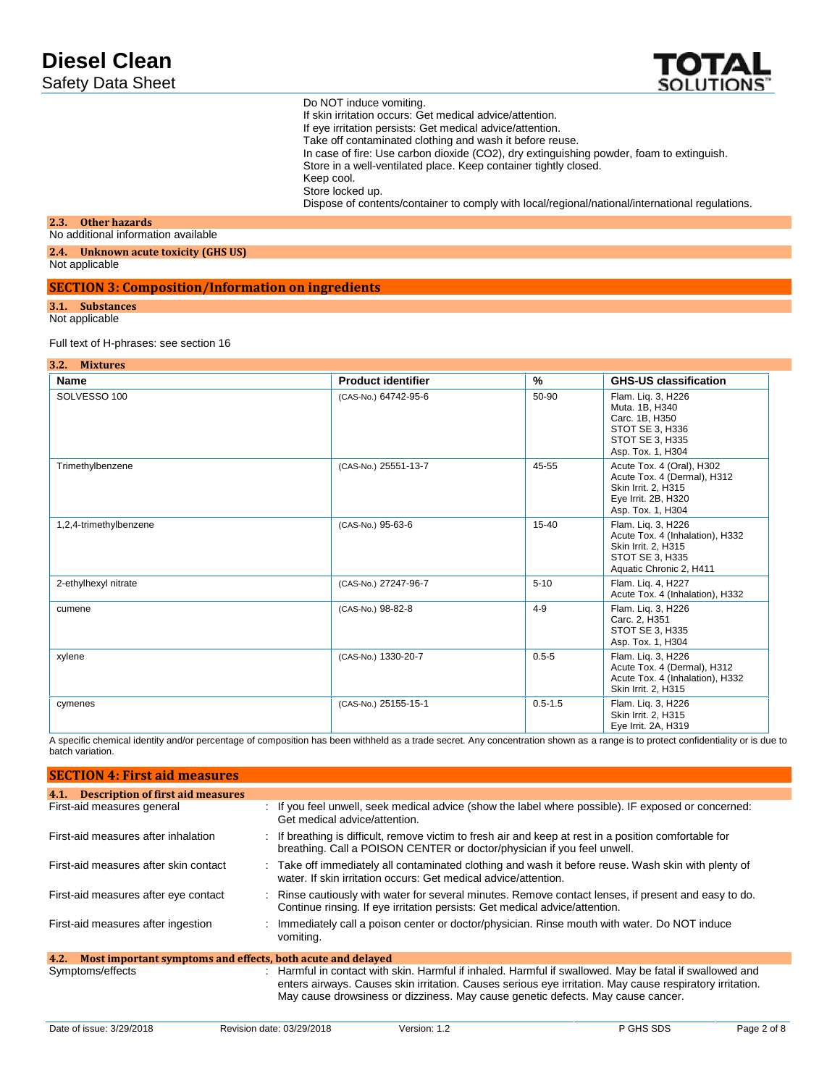

Do NOT induce vomiting. If skin irritation occurs: Get medical advice/attention. If eye irritation persists: Get medical advice/attention. Take off contaminated clothing and wash it before reuse. In case of fire: Use carbon dioxide (CO2), dry extinguishing powder, foam to extinguish. Store in a well-ventilated place. Keep container tightly closed. Keep cool. Store locked up. Dispose of contents/container to comply with local/regional/national/international regulations.

#### **2.3. Other hazards**

#### No additional information available

**2.4. Unknown acute toxicity (GHS US)**

Not applicable

### **SECTION 3: Composition/Information on ingredients**

#### **3.1. Substances**

Not applicable

#### Full text of H-phrases: see section 16

#### **3.2. Mixtures**

| Name                   | <b>Product identifier</b> | $\frac{9}{6}$ | <b>GHS-US classification</b>                                                                                                |
|------------------------|---------------------------|---------------|-----------------------------------------------------------------------------------------------------------------------------|
| SOLVESSO 100           | (CAS-No.) 64742-95-6      | 50-90         | Flam. Lig. 3, H226<br>Muta. 1B, H340<br>Carc. 1B, H350<br>STOT SE 3, H336<br><b>STOT SE 3. H335</b><br>Asp. Tox. 1, H304    |
| Trimethylbenzene       | (CAS-No.) 25551-13-7      | 45-55         | Acute Tox. 4 (Oral), H302<br>Acute Tox. 4 (Dermal), H312<br>Skin Irrit. 2. H315<br>Eye Irrit. 2B, H320<br>Asp. Tox. 1, H304 |
| 1,2,4-trimethylbenzene | (CAS-No.) 95-63-6         | $15 - 40$     | Flam. Liq. 3, H226<br>Acute Tox. 4 (Inhalation), H332<br>Skin Irrit. 2, H315<br>STOT SE 3, H335<br>Aquatic Chronic 2, H411  |
| 2-ethylhexyl nitrate   | (CAS-No.) 27247-96-7      | $5 - 10$      | Flam. Lig. 4, H227<br>Acute Tox. 4 (Inhalation), H332                                                                       |
| cumene                 | (CAS-No.) 98-82-8         | $4 - 9$       | Flam. Lig. 3, H226<br>Carc. 2, H351<br>STOT SE 3, H335<br>Asp. Tox. 1, H304                                                 |
| xylene                 | (CAS-No.) 1330-20-7       | $0.5 - 5$     | Flam. Liq. 3, H226<br>Acute Tox. 4 (Dermal), H312<br>Acute Tox. 4 (Inhalation), H332<br>Skin Irrit. 2, H315                 |
| cymenes                | (CAS-No.) 25155-15-1      | $0.5 - 1.5$   | Flam. Liq. 3, H226<br>Skin Irrit. 2. H315<br>Eye Irrit. 2A, H319                                                            |

A specific chemical identity and/or percentage of composition has been withheld as a trade secret. Any concentration shown as a range is to protect confidentiality or is due to batch variation.

| <b>SECTION 4: First aid measures</b>                                |                                                                                                                                                                                                                                                                                                        |
|---------------------------------------------------------------------|--------------------------------------------------------------------------------------------------------------------------------------------------------------------------------------------------------------------------------------------------------------------------------------------------------|
| <b>Description of first aid measures</b><br>4.1.                    |                                                                                                                                                                                                                                                                                                        |
| First-aid measures general                                          | : If you feel unwell, seek medical advice (show the label where possible). IF exposed or concerned:<br>Get medical advice/attention.                                                                                                                                                                   |
| First-aid measures after inhalation                                 | : If breathing is difficult, remove victim to fresh air and keep at rest in a position comfortable for<br>breathing. Call a POISON CENTER or doctor/physician if you feel unwell.                                                                                                                      |
| First-aid measures after skin contact                               | : Take off immediately all contaminated clothing and wash it before reuse. Wash skin with plenty of<br>water. If skin irritation occurs: Get medical advice/attention.                                                                                                                                 |
| First-aid measures after eye contact                                | : Rinse cautiously with water for several minutes. Remove contact lenses, if present and easy to do.<br>Continue rinsing. If eye irritation persists: Get medical advice/attention.                                                                                                                    |
| First-aid measures after ingestion                                  | : Immediately call a poison center or doctor/physician. Rinse mouth with water. Do NOT induce<br>vomiting.                                                                                                                                                                                             |
| Most important symptoms and effects, both acute and delayed<br>4.2. |                                                                                                                                                                                                                                                                                                        |
| Symptoms/effects                                                    | : Harmful in contact with skin. Harmful if inhaled. Harmful if swallowed. May be fatal if swallowed and<br>enters airways. Causes skin irritation. Causes serious eye irritation. May cause respiratory irritation.<br>May cause drowsiness or dizziness. May cause genetic defects. May cause cancer. |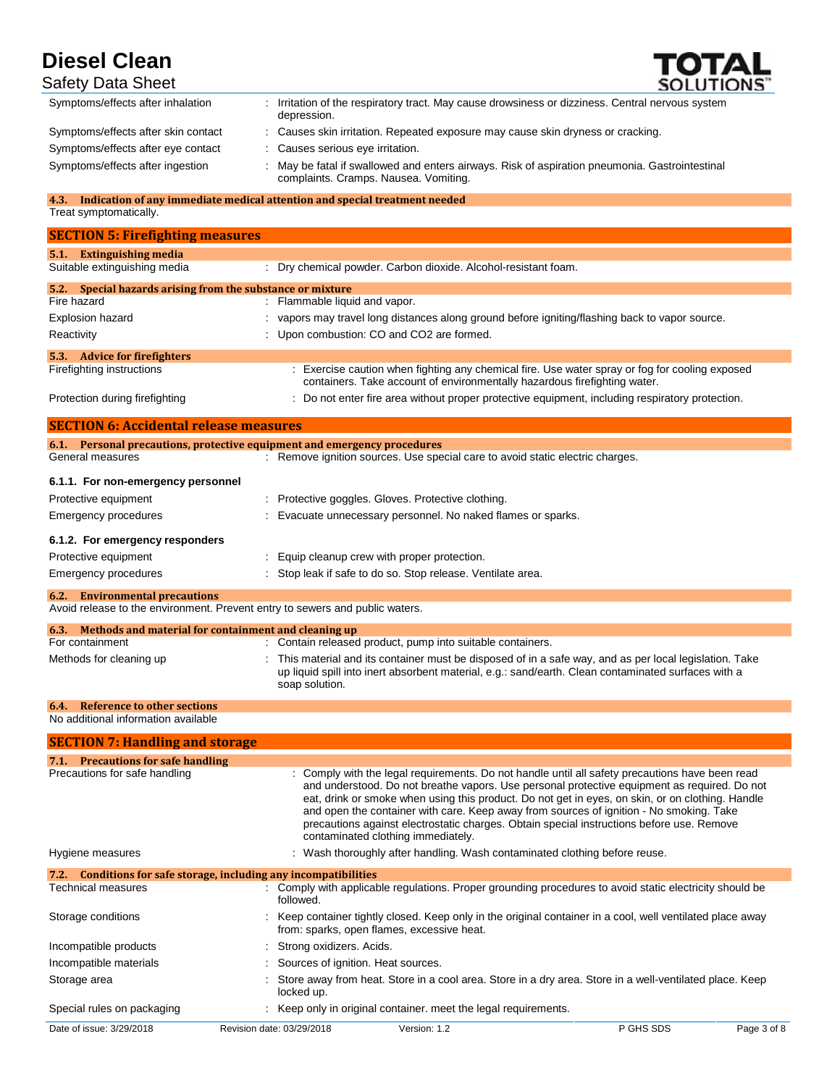

| <b>Safety Data Sheet</b>            | SOLUTIONS"                                                                                                                            |
|-------------------------------------|---------------------------------------------------------------------------------------------------------------------------------------|
| Symptoms/effects after inhalation   | Irritation of the respiratory tract. May cause drowsiness or dizziness. Central nervous system<br>depression.                         |
| Symptoms/effects after skin contact | : Causes skin irritation. Repeated exposure may cause skin dryness or cracking.                                                       |
| Symptoms/effects after eye contact  | Causes serious eye irritation.                                                                                                        |
| Symptoms/effects after ingestion    | May be fatal if swallowed and enters airways. Risk of aspiration pneumonia. Gastrointestinal<br>complaints. Cramps. Nausea. Vomiting. |

#### **4.3. Indication of any immediate medical attention and special treatment needed** Treat symptomatically.

| <b>SECTION 5: Firefighting measures</b>                       |                                                                                                                                                                             |
|---------------------------------------------------------------|-----------------------------------------------------------------------------------------------------------------------------------------------------------------------------|
| <b>Extinguishing media</b><br>5.1                             |                                                                                                                                                                             |
| Suitable extinguishing media                                  | : Dry chemical powder. Carbon dioxide. Alcohol-resistant foam.                                                                                                              |
| Special hazards arising from the substance or mixture<br>5.2. |                                                                                                                                                                             |
| Fire hazard                                                   | : Flammable liquid and vapor.                                                                                                                                               |
| Explosion hazard                                              | : vapors may travel long distances along ground before igniting/flashing back to vapor source.                                                                              |
| Reactivity                                                    | : Upon combustion: CO and CO2 are formed.                                                                                                                                   |
| <b>Advice for firefighters</b><br>5.3.                        |                                                                                                                                                                             |
| Firefighting instructions                                     | : Exercise caution when fighting any chemical fire. Use water spray or fog for cooling exposed<br>containers. Take account of environmentally hazardous firefighting water. |
| Protection during firefighting                                | : Do not enter fire area without proper protective equipment, including respiratory protection.                                                                             |

| <b>SECTION 6: Accidental release measures</b>             |                                                                                                         |
|-----------------------------------------------------------|---------------------------------------------------------------------------------------------------------|
|                                                           | 6.1. Personal precautions, protective equipment and emergency procedures                                |
| General measures                                          | : Remove ignition sources. Use special care to avoid static electric charges.                           |
| 6.1.1. For non-emergency personnel                        |                                                                                                         |
| Protective equipment                                      | Protective goggles. Gloves. Protective clothing.                                                        |
| Emergency procedures                                      | Evacuate unnecessary personnel. No naked flames or sparks.                                              |
| 6.1.2. For emergency responders                           |                                                                                                         |
| Protective equipment                                      | : Equip cleanup crew with proper protection.                                                            |
| Emergency procedures                                      | : Stop leak if safe to do so. Stop release. Ventilate area.                                             |
| <b>6.2.</b> Environmental precautions                     |                                                                                                         |
|                                                           | Avoid release to the environment. Prevent entry to sewers and public waters.                            |
| 6.3. Methods and material for containment and cleaning up |                                                                                                         |
| For containment                                           | : Contain released product, pump into suitable containers.                                              |
| Methods for cleaning up                                   | : This material and its container must be disposed of in a safe way, and as per local legislation. Take |

soap solution.

up liquid spill into inert absorbent material, e.g.: sand/earth. Clean contaminated surfaces with a

## **6.4. Reference to other sections**

No additional information available

| <b>SECTION 7: Handling and storage</b> |                                                                   |                                                                                                                                                                                                                                                                                                                                                                                                                                                                                                                                   |                                                                                                         |             |
|----------------------------------------|-------------------------------------------------------------------|-----------------------------------------------------------------------------------------------------------------------------------------------------------------------------------------------------------------------------------------------------------------------------------------------------------------------------------------------------------------------------------------------------------------------------------------------------------------------------------------------------------------------------------|---------------------------------------------------------------------------------------------------------|-------------|
| 7.1. Precautions for safe handling     |                                                                   |                                                                                                                                                                                                                                                                                                                                                                                                                                                                                                                                   |                                                                                                         |             |
| Precautions for safe handling          |                                                                   | : Comply with the legal requirements. Do not handle until all safety precautions have been read<br>and understood. Do not breathe vapors. Use personal protective equipment as required. Do not<br>eat, drink or smoke when using this product. Do not get in eyes, on skin, or on clothing. Handle<br>and open the container with care. Keep away from sources of ignition - No smoking. Take<br>precautions against electrostatic charges. Obtain special instructions before use. Remove<br>contaminated clothing immediately. |                                                                                                         |             |
| Hygiene measures                       |                                                                   | : Wash thoroughly after handling. Wash contaminated clothing before reuse.                                                                                                                                                                                                                                                                                                                                                                                                                                                        |                                                                                                         |             |
|                                        | 7.2. Conditions for safe storage, including any incompatibilities |                                                                                                                                                                                                                                                                                                                                                                                                                                                                                                                                   |                                                                                                         |             |
| Technical measures                     | followed.                                                         |                                                                                                                                                                                                                                                                                                                                                                                                                                                                                                                                   | : Comply with applicable regulations. Proper grounding procedures to avoid static electricity should be |             |
| Storage conditions                     |                                                                   | : Keep container tightly closed. Keep only in the original container in a cool, well ventilated place away<br>from: sparks, open flames, excessive heat.                                                                                                                                                                                                                                                                                                                                                                          |                                                                                                         |             |
| Incompatible products                  |                                                                   | : Strong oxidizers. Acids.                                                                                                                                                                                                                                                                                                                                                                                                                                                                                                        |                                                                                                         |             |
| Incompatible materials                 |                                                                   | : Sources of ignition. Heat sources.                                                                                                                                                                                                                                                                                                                                                                                                                                                                                              |                                                                                                         |             |
| Storage area                           | locked up.                                                        |                                                                                                                                                                                                                                                                                                                                                                                                                                                                                                                                   | Store away from heat. Store in a cool area. Store in a dry area. Store in a well-ventilated place. Keep |             |
| Special rules on packaging             |                                                                   | Keep only in original container, meet the legal requirements.                                                                                                                                                                                                                                                                                                                                                                                                                                                                     |                                                                                                         |             |
| Date of issue: 3/29/2018               | Revision date: 03/29/2018                                         | Version: 1.2                                                                                                                                                                                                                                                                                                                                                                                                                                                                                                                      | P GHS SDS                                                                                               | Page 3 of 8 |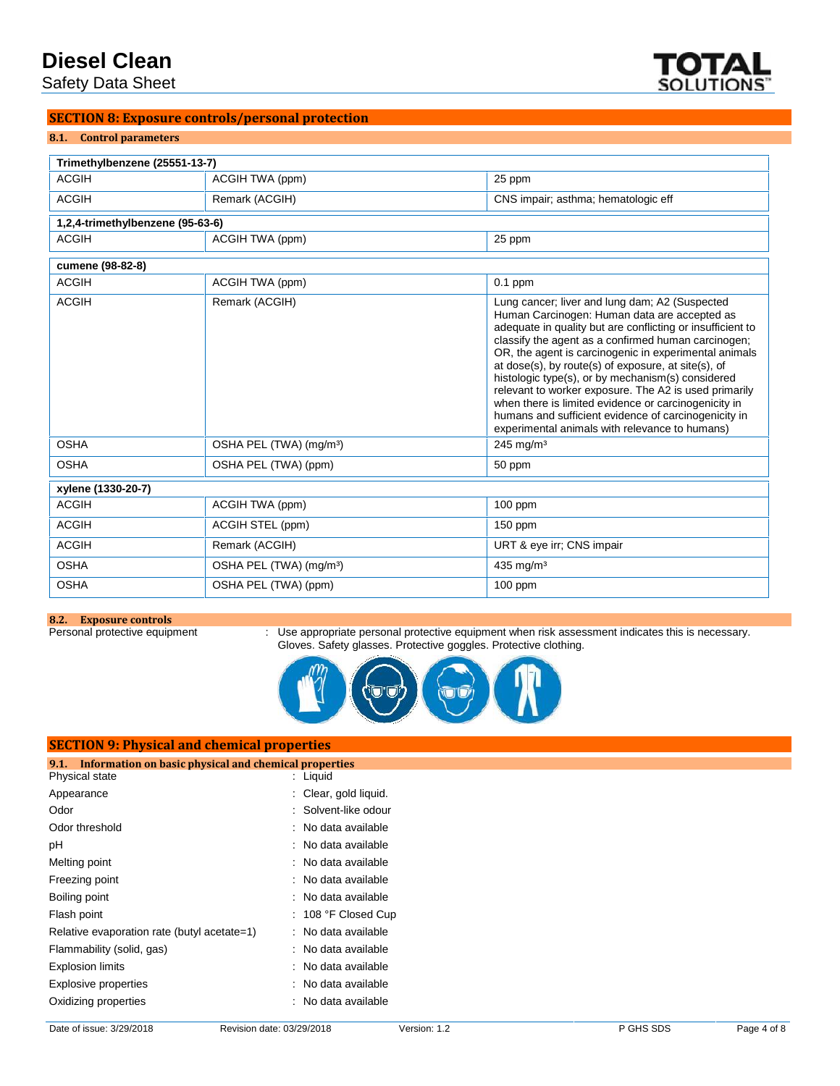Safety Data Sheet



# **SECTION 8: Exposure controls/personal protection**

### **8.1. Control parameters**

| Trimethylbenzene (25551-13-7)    |                                     |                                                                                                                                                                                                                                                                                                                                                                                                                                                                                                                                                                                                                     |
|----------------------------------|-------------------------------------|---------------------------------------------------------------------------------------------------------------------------------------------------------------------------------------------------------------------------------------------------------------------------------------------------------------------------------------------------------------------------------------------------------------------------------------------------------------------------------------------------------------------------------------------------------------------------------------------------------------------|
| <b>ACGIH</b>                     | ACGIH TWA (ppm)                     | 25 ppm                                                                                                                                                                                                                                                                                                                                                                                                                                                                                                                                                                                                              |
| <b>ACGIH</b>                     | Remark (ACGIH)                      | CNS impair; asthma; hematologic eff                                                                                                                                                                                                                                                                                                                                                                                                                                                                                                                                                                                 |
| 1,2,4-trimethylbenzene (95-63-6) |                                     |                                                                                                                                                                                                                                                                                                                                                                                                                                                                                                                                                                                                                     |
| <b>ACGIH</b>                     | ACGIH TWA (ppm)                     | 25 ppm                                                                                                                                                                                                                                                                                                                                                                                                                                                                                                                                                                                                              |
| cumene (98-82-8)                 |                                     |                                                                                                                                                                                                                                                                                                                                                                                                                                                                                                                                                                                                                     |
| <b>ACGIH</b>                     | ACGIH TWA (ppm)                     | $0.1$ ppm                                                                                                                                                                                                                                                                                                                                                                                                                                                                                                                                                                                                           |
| <b>ACGIH</b>                     | Remark (ACGIH)                      | Lung cancer; liver and lung dam; A2 (Suspected<br>Human Carcinogen: Human data are accepted as<br>adequate in quality but are conflicting or insufficient to<br>classify the agent as a confirmed human carcinogen;<br>OR, the agent is carcinogenic in experimental animals<br>at dose(s), by route(s) of exposure, at site(s), of<br>histologic type(s), or by mechanism(s) considered<br>relevant to worker exposure. The A2 is used primarily<br>when there is limited evidence or carcinogenicity in<br>humans and sufficient evidence of carcinogenicity in<br>experimental animals with relevance to humans) |
| <b>OSHA</b>                      | OSHA PEL (TWA) (mg/m <sup>3</sup> ) | $245$ mg/m <sup>3</sup>                                                                                                                                                                                                                                                                                                                                                                                                                                                                                                                                                                                             |
| <b>OSHA</b>                      | OSHA PEL (TWA) (ppm)                | 50 ppm                                                                                                                                                                                                                                                                                                                                                                                                                                                                                                                                                                                                              |
| xylene (1330-20-7)               |                                     |                                                                                                                                                                                                                                                                                                                                                                                                                                                                                                                                                                                                                     |
| <b>ACGIH</b>                     | ACGIH TWA (ppm)                     | 100 ppm                                                                                                                                                                                                                                                                                                                                                                                                                                                                                                                                                                                                             |
| <b>ACGIH</b>                     | ACGIH STEL (ppm)                    | $150$ ppm                                                                                                                                                                                                                                                                                                                                                                                                                                                                                                                                                                                                           |
| <b>ACGIH</b>                     | Remark (ACGIH)                      | URT & eye irr; CNS impair                                                                                                                                                                                                                                                                                                                                                                                                                                                                                                                                                                                           |
| <b>OSHA</b>                      | OSHA PEL (TWA) (mg/m <sup>3</sup> ) | $435$ mg/m <sup>3</sup>                                                                                                                                                                                                                                                                                                                                                                                                                                                                                                                                                                                             |
| <b>OSHA</b>                      | OSHA PEL (TWA) (ppm)                | $100$ ppm                                                                                                                                                                                                                                                                                                                                                                                                                                                                                                                                                                                                           |

**8.2. Exposure controls**

Personal protective equipment : Use appropriate personal protective equipment when risk assessment indicates this is necessary. Gloves. Safety glasses. Protective goggles. Protective clothing.



| <b>SECTION 9: Physical and chemical properties</b>            |                       |  |  |
|---------------------------------------------------------------|-----------------------|--|--|
| Information on basic physical and chemical properties<br>9.1. |                       |  |  |
| Physical state                                                | $:$ Liquid            |  |  |
| Appearance                                                    | : Clear, gold liquid. |  |  |
| Odor                                                          | : Solvent-like odour  |  |  |
| Odor threshold                                                | : No data available   |  |  |
| pH                                                            | : No data available   |  |  |
| Melting point                                                 | : No data available   |  |  |
| Freezing point                                                | : No data available   |  |  |
| Boiling point                                                 | : No data available   |  |  |
| Flash point                                                   | $: 108$ °F Closed Cup |  |  |
| Relative evaporation rate (butyl acetate=1)                   | : No data available   |  |  |
| Flammability (solid, gas)                                     | : No data available   |  |  |
| <b>Explosion limits</b>                                       | : No data available   |  |  |
| Explosive properties                                          | : No data available   |  |  |
| Oxidizing properties                                          | : No data available   |  |  |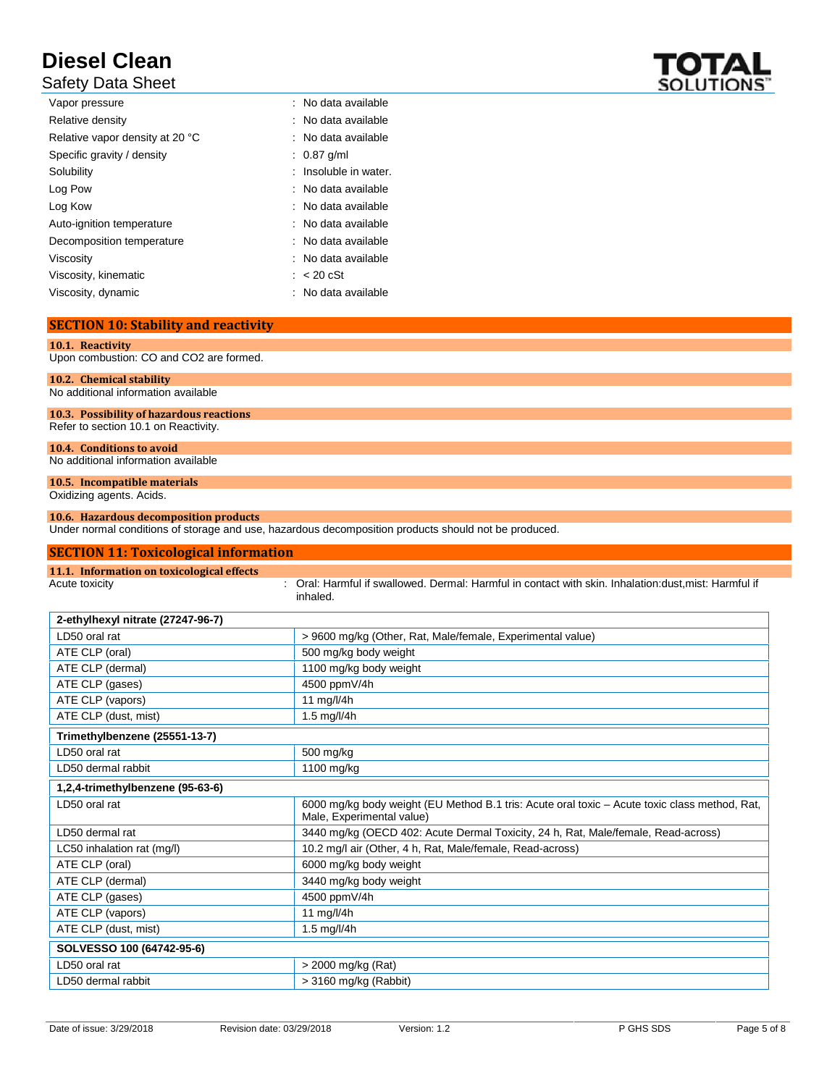# Safety Data Sheet

| Vapor pressure                  | : No data available   |
|---------------------------------|-----------------------|
| Relative density                | : No data available   |
| Relative vapor density at 20 °C | : No data available   |
| Specific gravity / density      | $: 0.87$ g/ml         |
| Solubility                      | : Insoluble in water. |
| Log Pow                         | : No data available   |
| Log Kow                         | : No data available   |
| Auto-ignition temperature       | : No data available   |
| Decomposition temperature       | : No data available   |
| Viscosity                       | : No data available   |
| Viscosity, kinematic            | $\approx$ 20 cSt      |
| Viscosity, dynamic              | : No data available   |
|                                 |                       |

# **SECTION 10: Stability and reactivity**

| 10.1. Reactivity                         |
|------------------------------------------|
|                                          |
| Upon combustion: CO and CO2 are formed.  |
|                                          |
|                                          |
| 10.2. Chemical stability                 |
|                                          |
| No additional information available      |
|                                          |
|                                          |
| 10.3. Possibility of hazardous reactions |
|                                          |
| Refer to section 10.1 on Reactivity.     |
|                                          |
|                                          |
| 10.4. Conditions to avoid                |
|                                          |
| No additional information available      |
|                                          |

# **10.5. Incompatible materials**

Oxidizing agents. Acids.

## **10.6. Hazardous decomposition products**

Under normal conditions of storage and use, hazardous decomposition products should not be produced.

| <b>SECTION 11: Toxicological information</b> |                                                                                                                            |
|----------------------------------------------|----------------------------------------------------------------------------------------------------------------------------|
| 11.1. Information on toxicological effects   |                                                                                                                            |
| Acute toxicity                               | Oral: Harmful if swallowed. Dermal: Harmful in contact with skin. Inhalation: dust, mist: Harmful if<br>inhaled.           |
| 2-ethylhexyl nitrate (27247-96-7)            |                                                                                                                            |
| LD50 oral rat                                | > 9600 mg/kg (Other, Rat, Male/female, Experimental value)                                                                 |
| ATE CLP (oral)                               | 500 mg/kg body weight                                                                                                      |
| ATE CLP (dermal)                             | 1100 mg/kg body weight                                                                                                     |
| ATE CLP (gases)                              | 4500 ppmV/4h                                                                                                               |
| ATE CLP (vapors)                             | 11 mg/l/4h                                                                                                                 |
| ATE CLP (dust, mist)                         | 1.5 $mg/l/4h$                                                                                                              |
| Trimethylbenzene (25551-13-7)                |                                                                                                                            |
| LD50 oral rat                                | 500 mg/kg                                                                                                                  |
| LD50 dermal rabbit                           | 1100 mg/kg                                                                                                                 |
| 1,2,4-trimethylbenzene (95-63-6)             |                                                                                                                            |
| LD50 oral rat                                | 6000 mg/kg body weight (EU Method B.1 tris: Acute oral toxic – Acute toxic class method, Rat,<br>Male, Experimental value) |
| LD50 dermal rat                              | 3440 mg/kg (OECD 402: Acute Dermal Toxicity, 24 h, Rat, Male/female, Read-across)                                          |
| LC50 inhalation rat (mg/l)                   | 10.2 mg/l air (Other, 4 h, Rat, Male/female, Read-across)                                                                  |
| ATE CLP (oral)                               | 6000 mg/kg body weight                                                                                                     |
| ATE CLP (dermal)                             | 3440 mg/kg body weight                                                                                                     |
| ATE CLP (gases)                              | 4500 ppmV/4h                                                                                                               |
| ATE CLP (vapors)                             | 11 mg/l/4h                                                                                                                 |
| ATE CLP (dust, mist)                         | 1.5 $mg/l/4h$                                                                                                              |
| SOLVESSO 100 (64742-95-6)                    |                                                                                                                            |
| LD50 oral rat                                | > 2000 mg/kg (Rat)                                                                                                         |
| LD50 dermal rabbit                           | > 3160 mg/kg (Rabbit)                                                                                                      |

Date of issue: 3/29/2018 Revision date: 03/29/2018 Version: 1.2 P GHS SDS Page 5 of 8

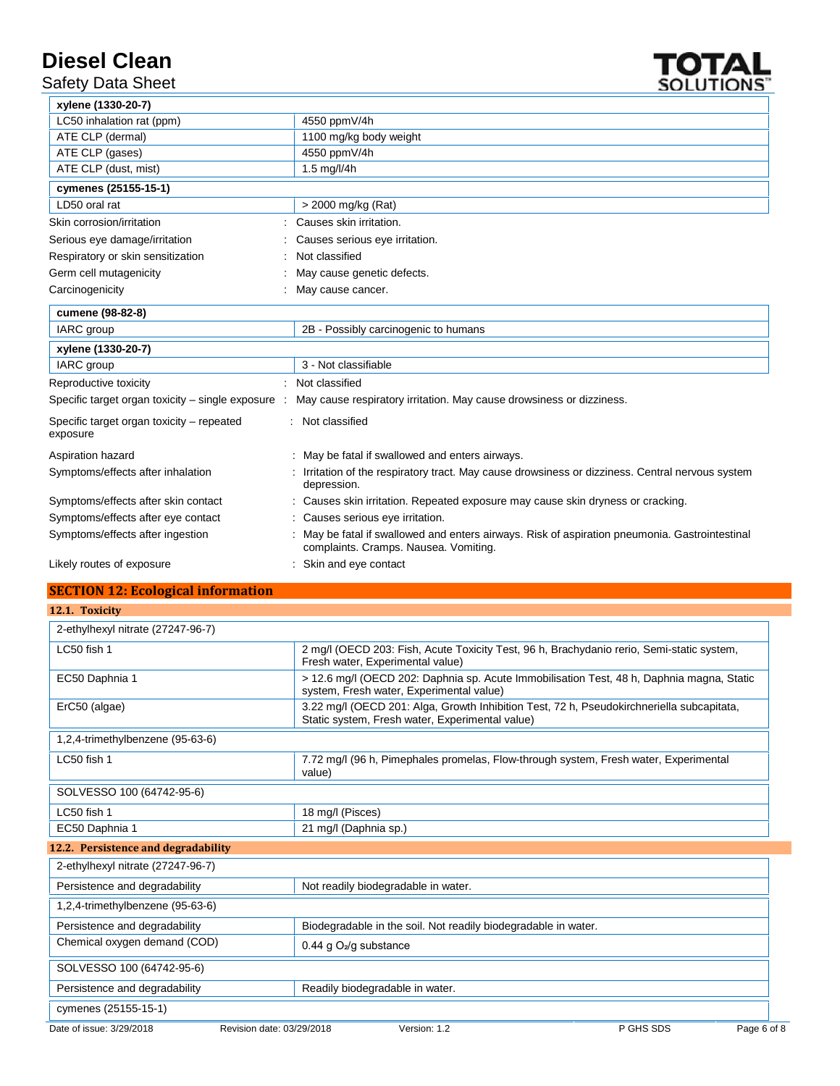Safety Data Sheet



| xylene (1330-20-7)                                    |                                                                                                                                       |
|-------------------------------------------------------|---------------------------------------------------------------------------------------------------------------------------------------|
| LC50 inhalation rat (ppm)                             | 4550 ppmV/4h                                                                                                                          |
| ATE CLP (dermal)                                      | 1100 mg/kg body weight                                                                                                                |
| ATE CLP (gases)                                       | 4550 ppmV/4h                                                                                                                          |
| ATE CLP (dust, mist)                                  | 1.5 mg/l/4h                                                                                                                           |
| cymenes (25155-15-1)                                  |                                                                                                                                       |
| LD50 oral rat                                         | > 2000 mg/kg (Rat)                                                                                                                    |
| Skin corrosion/irritation                             | Causes skin irritation.                                                                                                               |
| Serious eye damage/irritation                         | Causes serious eye irritation.                                                                                                        |
| Respiratory or skin sensitization                     | Not classified                                                                                                                        |
| Germ cell mutagenicity                                | May cause genetic defects.                                                                                                            |
| Carcinogenicity                                       | May cause cancer.                                                                                                                     |
| cumene (98-82-8)                                      |                                                                                                                                       |
| IARC group                                            | 2B - Possibly carcinogenic to humans                                                                                                  |
| xylene (1330-20-7)                                    |                                                                                                                                       |
| IARC group                                            | 3 - Not classifiable                                                                                                                  |
| Reproductive toxicity                                 | : Not classified                                                                                                                      |
| Specific target organ toxicity - single exposure :    | May cause respiratory irritation. May cause drowsiness or dizziness.                                                                  |
| Specific target organ toxicity - repeated<br>exposure | : Not classified                                                                                                                      |
| Aspiration hazard                                     | : May be fatal if swallowed and enters airways.                                                                                       |
| Symptoms/effects after inhalation                     | Irritation of the respiratory tract. May cause drowsiness or dizziness. Central nervous system<br>depression.                         |
| Symptoms/effects after skin contact                   | Causes skin irritation. Repeated exposure may cause skin dryness or cracking.                                                         |
| Symptoms/effects after eye contact                    | : Causes serious eye irritation.                                                                                                      |
| Symptoms/effects after ingestion                      | May be fatal if swallowed and enters airways. Risk of aspiration pneumonia. Gastrointestinal<br>complaints. Cramps. Nausea. Vomiting. |
| Likely routes of exposure                             | Skin and eye contact                                                                                                                  |

# **SECTION 12: Ecological information**

| 12.1. Toxicity                      |                                                                                                                                              |           |             |
|-------------------------------------|----------------------------------------------------------------------------------------------------------------------------------------------|-----------|-------------|
| 2-ethylhexyl nitrate (27247-96-7)   |                                                                                                                                              |           |             |
| LC50 fish 1                         | 2 mg/l (OECD 203: Fish, Acute Toxicity Test, 96 h, Brachydanio rerio, Semi-static system,<br>Fresh water, Experimental value)                |           |             |
| EC50 Daphnia 1                      | > 12.6 mg/l (OECD 202: Daphnia sp. Acute Immobilisation Test, 48 h, Daphnia magna, Static<br>system, Fresh water, Experimental value)        |           |             |
| ErC50 (algae)                       | 3.22 mg/l (OECD 201: Alga, Growth Inhibition Test, 72 h, Pseudokirchneriella subcapitata,<br>Static system, Fresh water, Experimental value) |           |             |
| 1,2,4-trimethylbenzene (95-63-6)    |                                                                                                                                              |           |             |
| LC50 fish 1                         | 7.72 mg/l (96 h, Pimephales promelas, Flow-through system, Fresh water, Experimental<br>value)                                               |           |             |
| SOLVESSO 100 (64742-95-6)           |                                                                                                                                              |           |             |
| LC50 fish 1                         | 18 mg/l (Pisces)                                                                                                                             |           |             |
| EC50 Daphnia 1                      | 21 mg/l (Daphnia sp.)                                                                                                                        |           |             |
| 12.2. Persistence and degradability |                                                                                                                                              |           |             |
| 2-ethylhexyl nitrate (27247-96-7)   |                                                                                                                                              |           |             |
| Persistence and degradability       | Not readily biodegradable in water.                                                                                                          |           |             |
| 1,2,4-trimethylbenzene (95-63-6)    |                                                                                                                                              |           |             |
| Persistence and degradability       | Biodegradable in the soil. Not readily biodegradable in water.                                                                               |           |             |
| Chemical oxygen demand (COD)        | 0.44 g $O_2$ /g substance                                                                                                                    |           |             |
| SOLVESSO 100 (64742-95-6)           |                                                                                                                                              |           |             |
| Persistence and degradability       | Readily biodegradable in water.                                                                                                              |           |             |
| cymenes (25155-15-1)                |                                                                                                                                              |           |             |
| Date of issue: 3/29/2018            | Revision date: 03/29/2018<br>Version: 1.2                                                                                                    | P GHS SDS | Page 6 of 8 |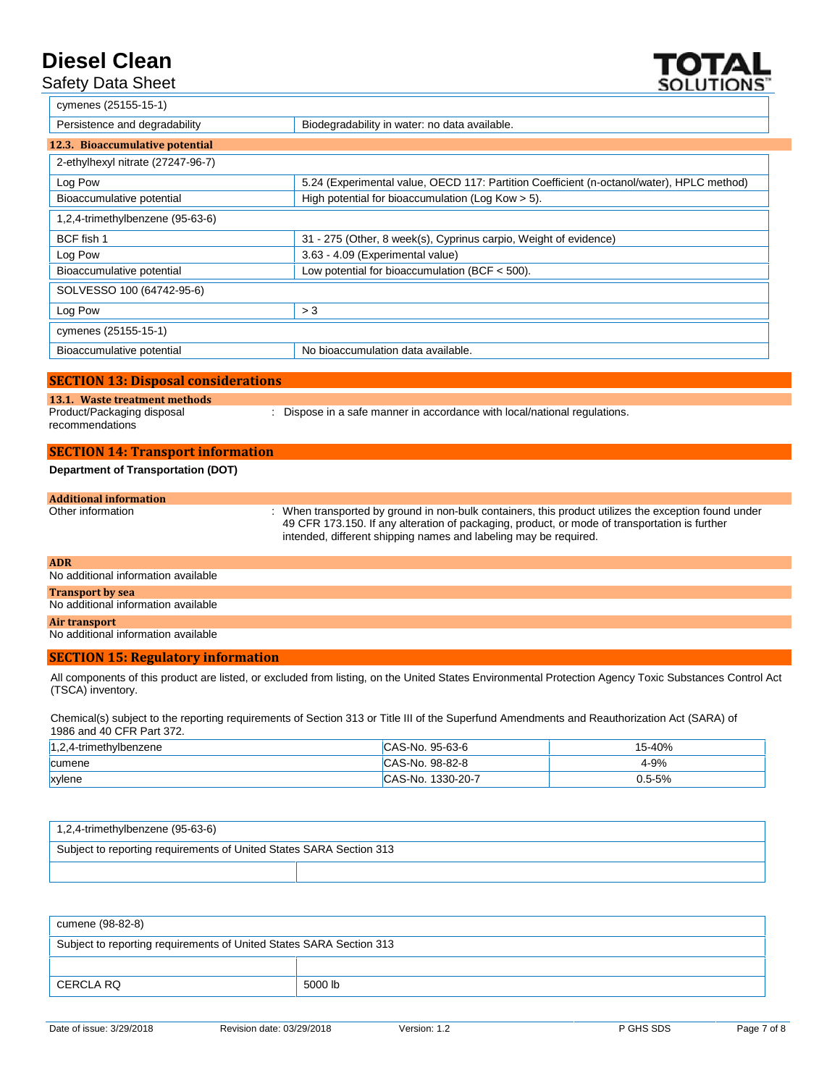# Safety Data Sheet



| cymenes (25155-15-1)              |                                                                                           |
|-----------------------------------|-------------------------------------------------------------------------------------------|
| Persistence and degradability     | Biodegradability in water: no data available.                                             |
| 12.3. Bioaccumulative potential   |                                                                                           |
| 2-ethylhexyl nitrate (27247-96-7) |                                                                                           |
| Log Pow                           | 5.24 (Experimental value, OECD 117: Partition Coefficient (n-octanol/water), HPLC method) |
| Bioaccumulative potential         | High potential for bioaccumulation (Log Kow > 5).                                         |
| 1,2,4-trimethylbenzene (95-63-6)  |                                                                                           |
| BCF fish 1                        | 31 - 275 (Other, 8 week(s), Cyprinus carpio, Weight of evidence)                          |
| Log Pow                           | 3.63 - 4.09 (Experimental value)                                                          |
| Bioaccumulative potential         | Low potential for bioaccumulation (BCF $<$ 500).                                          |
| SOLVESSO 100 (64742-95-6)         |                                                                                           |
| Log Pow                           | > 3                                                                                       |
| cymenes (25155-15-1)              |                                                                                           |
| Bioaccumulative potential         | No bioaccumulation data available.                                                        |

## **SECTION 13: Disposal considerations**

#### **13.1. Waste treatment methods** Product/Packaging disposal

recommendations

: Dispose in a safe manner in accordance with local/national regulations.

# **SECTION 14: Transport information Department of Transportation (DOT)**

### **Additional information** : When transported by ground in non-bulk containers, this product utilizes the exception found under 49 CFR 173.150. If any alteration of packaging, product, or mode of transportation is further intended, different shipping names and labeling may be required.

# **ADR** No additional information available **Transport by sea**

# No additional information available

# **Air transport**

# No additional information available

## **SECTION 15: Regulatory information**

All components of this product are listed, or excluded from listing, on the United States Environmental Protection Agency Toxic Substances Control Act (TSCA) inventory.

Chemical(s) subject to the reporting requirements of Section 313 or Title III of the Superfund Amendments and Reauthorization Act (SARA) of 1986 and 40 CFR Part 372.

| 1,2,4-trimethylbenzene | CAS-No. 95-63-6   | 15-40%     |
|------------------------|-------------------|------------|
| <b>cumene</b>          | CAS-No. 98-82-8   | 4-9%       |
| xylene                 | CAS-No. 1330-20-7 | $0.5 - 5%$ |

| $1,2,4$ -trimethylbenzene (95-63-6)                                 |  |  |  |  |
|---------------------------------------------------------------------|--|--|--|--|
| Subject to reporting requirements of United States SARA Section 313 |  |  |  |  |
|                                                                     |  |  |  |  |

| cumene (98-82-8)                                                    |         |  |
|---------------------------------------------------------------------|---------|--|
| Subject to reporting requirements of United States SARA Section 313 |         |  |
|                                                                     |         |  |
| CERCLA RQ                                                           | 5000 lb |  |